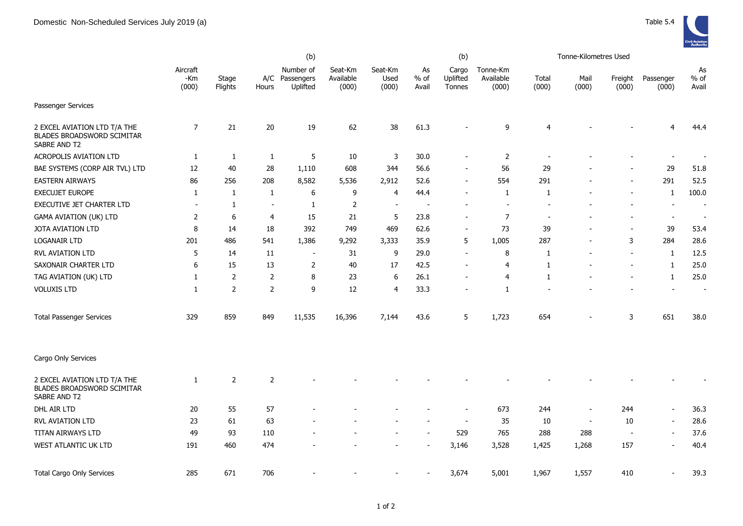|                                                                                   | (b)                      |                  |                |                                     |                               |                          |                          | (b)                         |                                |                          | Tonne-Kilometres Used    |                          |                          |                          |
|-----------------------------------------------------------------------------------|--------------------------|------------------|----------------|-------------------------------------|-------------------------------|--------------------------|--------------------------|-----------------------------|--------------------------------|--------------------------|--------------------------|--------------------------|--------------------------|--------------------------|
|                                                                                   | Aircraft<br>-Km<br>(000) | Stage<br>Flights | A/C<br>Hours   | Number of<br>Passengers<br>Uplifted | Seat-Km<br>Available<br>(000) | Seat-Km<br>Used<br>(000) | As<br>$%$ of<br>Avail    | Cargo<br>Uplifted<br>Tonnes | Tonne-Km<br>Available<br>(000) | Total<br>(000)           | Mail<br>(000)            | Freight<br>(000)         | Passenger<br>(000)       | As<br>% of<br>Avail      |
| Passenger Services                                                                |                          |                  |                |                                     |                               |                          |                          |                             |                                |                          |                          |                          |                          |                          |
| 2 EXCEL AVIATION LTD T/A THE<br>BLADES BROADSWORD SCIMITAR<br>SABRE AND T2        | $\overline{7}$           | 21               | 20             | 19                                  | 62                            | 38                       | 61.3                     |                             | 9                              | $\overline{4}$           |                          |                          | 4                        | 44.4                     |
| ACROPOLIS AVIATION LTD                                                            | 1                        | 1                | 1              | 5                                   | 10                            | 3                        | 30.0                     | $\blacksquare$              | $\overline{2}$                 |                          |                          |                          | $\overline{\phantom{a}}$ |                          |
| BAE SYSTEMS (CORP AIR TVL) LTD                                                    | 12                       | 40               | 28             | 1,110                               | 608                           | 344                      | 56.6                     | -                           | 56                             | 29                       |                          |                          | 29                       | 51.8                     |
| <b>EASTERN AIRWAYS</b>                                                            | 86                       | 256              | 208            | 8,582                               | 5,536                         | 2,912                    | 52.6                     | $\blacksquare$              | 554                            | 291                      |                          |                          | 291                      | 52.5                     |
| EXECUJET EUROPE                                                                   | 1                        | 1                | 1              | 6                                   | 9                             | 4                        | 44.4                     | $\blacksquare$              | 1                              | 1                        |                          |                          | 1                        | 100.0                    |
| EXECUTIVE JET CHARTER LTD                                                         | $\overline{\phantom{a}}$ | 1                | $\sim$         | $\mathbf{1}$                        | $\overline{2}$                | $\blacksquare$           | $\overline{\phantom{a}}$ |                             | $\sim$                         | $\overline{\phantom{a}}$ |                          |                          | $\overline{\phantom{a}}$ | $\sim$                   |
| GAMA AVIATION (UK) LTD                                                            | 2                        | 6                | $\overline{4}$ | 15                                  | 21                            | 5                        | 23.8                     | $\overline{\phantom{a}}$    | $\overline{7}$                 | $\overline{\phantom{a}}$ |                          |                          | $\blacksquare$           | $\overline{\phantom{a}}$ |
| JOTA AVIATION LTD                                                                 | 8                        | 14               | 18             | 392                                 | 749                           | 469                      | 62.6                     | $\blacksquare$              | 73                             | 39                       |                          |                          | 39                       | 53.4                     |
| LOGANAIR LTD                                                                      | 201                      | 486              | 541            | 1,386                               | 9,292                         | 3,333                    | 35.9                     | 5                           | 1,005                          | 287                      |                          | 3                        | 284                      | 28.6                     |
| RVL AVIATION LTD                                                                  | 5                        | 14               | 11             | $\overline{\phantom{a}}$            | 31                            | 9                        | 29.0                     | $\blacksquare$              | 8                              | 1                        |                          | $\overline{\phantom{a}}$ | $\mathbf{1}$             | 12.5                     |
| SAXONAIR CHARTER LTD                                                              | 6                        | 15               | 13             | $\overline{2}$                      | 40                            | 17                       | 42.5                     | $\blacksquare$              | $\overline{4}$                 | $\mathbf{1}$             |                          | $\blacksquare$           | $\mathbf{1}$             | 25.0                     |
| TAG AVIATION (UK) LTD                                                             | 1                        | $\overline{2}$   | $\overline{2}$ | 8                                   | 23                            | 6                        | 26.1                     | Ē,                          | $\overline{4}$                 | $\mathbf{1}$             |                          |                          | $\mathbf{1}$             | 25.0                     |
| <b>VOLUXIS LTD</b>                                                                | 1                        | $\overline{2}$   | $\overline{2}$ | 9                                   | 12                            | $\overline{4}$           | 33.3                     | $\overline{\phantom{a}}$    | 1                              |                          |                          |                          | $\overline{\phantom{a}}$ |                          |
| <b>Total Passenger Services</b>                                                   | 329                      | 859              | 849            | 11,535                              | 16,396                        | 7,144                    | 43.6                     | 5                           | 1,723                          | 654                      |                          | 3                        | 651                      | 38.0                     |
| Cargo Only Services                                                               |                          |                  |                |                                     |                               |                          |                          |                             |                                |                          |                          |                          |                          |                          |
| 2 EXCEL AVIATION LTD T/A THE<br><b>BLADES BROADSWORD SCIMITAR</b><br>SABRE AND T2 | 1                        | $\overline{2}$   | $\overline{2}$ |                                     |                               |                          |                          |                             |                                |                          |                          |                          |                          |                          |
| DHL AIR LTD                                                                       | 20                       | 55               | 57             |                                     |                               |                          |                          | $\overline{\phantom{a}}$    | 673                            | 244                      | $\overline{\phantom{a}}$ | 244                      | $\sim$                   | 36.3                     |
| <b>RVL AVIATION LTD</b>                                                           | 23                       | 61               | 63             |                                     |                               |                          |                          | $\overline{\phantom{a}}$    | 35                             | 10                       | $\overline{\phantom{a}}$ | 10                       | $\blacksquare$           | 28.6                     |
| TITAN AIRWAYS LTD                                                                 | 49                       | 93               | 110            |                                     |                               |                          | $\overline{a}$           | 529                         | 765                            | 288                      | 288                      | $\sim$                   | $\overline{\phantom{a}}$ | 37.6                     |
| WEST ATLANTIC UK LTD                                                              | 191                      | 460              | 474            |                                     |                               |                          |                          | 3,146                       | 3,528                          | 1,425                    | 1,268                    | 157                      | $\blacksquare$           | 40.4                     |
| <b>Total Cargo Only Services</b>                                                  | 285                      | 671              | 706            |                                     |                               |                          |                          | 3,674                       | 5,001                          | 1,967                    | 1,557                    | 410                      |                          | 39.3                     |